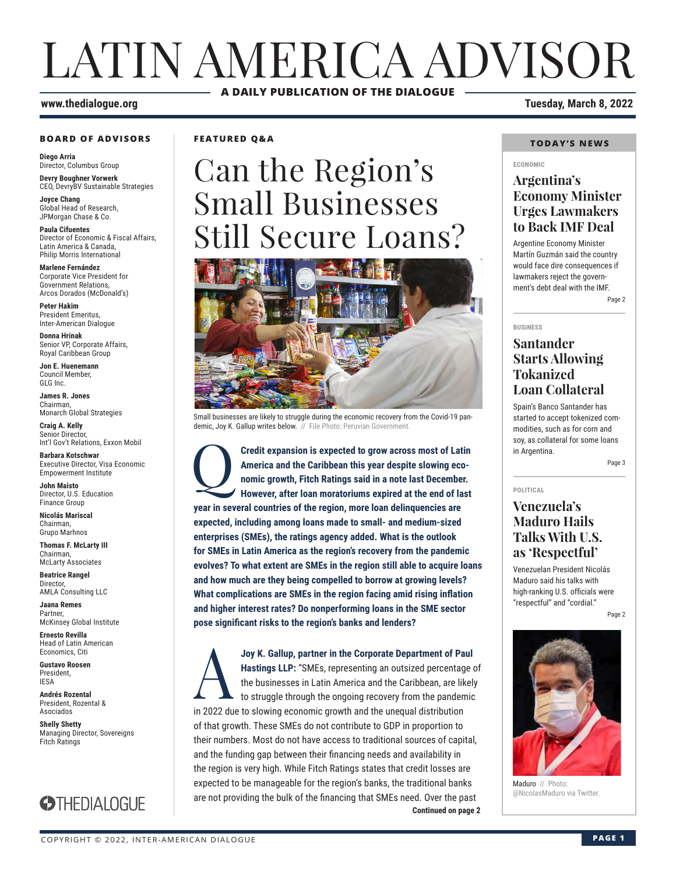## LATIN AMERICA ADVISOR **A DAILY PUBLICATION OF THE DIALOGUE**

#### **BOARD OF ADVISORS**

**Diego Arria** Director, Columbus Group **Devry Boughner Vorwerk**

CEO, DevryBV Sustainable Strategies **Joyce Chang**

Global Head of Research, JPMorgan Chase & Co.

**Paula Cifuentes** Director of Economic & Fiscal Affairs, Latin America & Canada, Philip Morris International

**Marlene Fernández** Corporate Vice President for Government Relations, Arcos Dorados (McDonald's)

**Peter Hakim** President Emeritus, Inter-American Dialogue

**Donna Hrinak** Senior VP, Corporate Affairs, Royal Caribbean Group

**Jon E. Huenemann** Council Member, GLG Inc.

**James R. Jones** Chairman, Monarch Global Strategies

**Craig A. Kelly** Senior Director, Int'l Gov't Relations, Exxon Mobil

**Barbara Kotschwar** Executive Director, Visa Economic Empowerment Institute

**John Maisto** Director, U.S. Education Finance Group

**Nicolás Mariscal** Chairman, Grupo Marhnos

**Thomas F. McLarty III** Chairman, McLarty Associates

**Beatrice Rangel**  Director, AMLA Consulting LLC

**Jaana Remes Partner** McKinsey Global Institute

**Ernesto Revilla**  Head of Latin American Economics, Citi

**Gustavo Roosen** President, IESA

**Andrés Rozental**  President, Rozental & Asociados

**Shelly Shetty** Managing Director, Sovereigns Fitch Ratings



**FEATURED Q&A**

# Can the Region's Small Businesses Still Secure Loans?



Small businesses are likely to struggle during the economic recovery from the Covid-19 pandemic, Joy K. Gallup writes below. // File Photo: Peruvian Government.

Q**Credit expansion is expected to grow across most of Latin America and the Caribbean this year despite slowing economic growth, Fitch Ratings said in a note last December. However, after loan moratoriums expired at the end of last year in several countries of the region, more loan delinquencies are expected, including among loans made to small- and medium-sized enterprises (SMEs), the ratings agency added. What is the outlook for SMEs in Latin America as the region's recovery from the pandemic evolves? To what extent are SMEs in the region still able to acquire loans and how much are they being compelled to borrow at growing levels? What complications are SMEs in the region facing amid rising inflation and higher interest rates? Do nonperforming loans in the SME sector pose significant risks to the region's banks and lenders?**

**Continued on page 2 Joy K. Gallup, partner in the Corporate Department of Paul Hastings LLP:** "SMEs, representing an outsized percentage of the businesses in Latin America and the Caribbean, are likely to struggle through the ongoing recover **Hastings LLP:** "SMEs, representing an outsized percentage of the businesses in Latin America and the Caribbean, are likely to struggle through the ongoing recovery from the pandemic in 2022 due to slowing economic growth and the unequal distribution of that growth. These SMEs do not contribute to GDP in proportion to their numbers. Most do not have access to traditional sources of capital, and the funding gap between their financing needs and availability in the region is very high. While Fitch Ratings states that credit losses are expected to be manageable for the region's banks, the traditional banks are not providing the bulk of the financing that SMEs need. Over the past

**www.thedialogue.org Tuesday, March 8, 2022**

#### **TODAY'S NEWS**

#### **ECONOMIC**

### **Argentina's Economy Minister Urges Lawmakers to Back IMF Deal**

Argentine Economy Minister Martín Guzmán said the country would face dire consequences if lawmakers reject the government's debt deal with the IMF. Page 2

**BUSINESS**

#### **Santander Starts Allowing Tokanized Loan Collateral**

Spain's Banco Santander has started to accept tokenized commodities, such as for corn and soy, as collateral for some loans in Argentina.

Page 3

## **POLITICAL**

### **Venezuela's Maduro Hails Talks With U.S. as 'Respectful'**

Venezuelan President Nicolás Maduro said his talks with high-ranking U.S. officials were "respectful" and "cordial."

Page 2



Maduro // Photo: @NicolasMaduro via Twitter.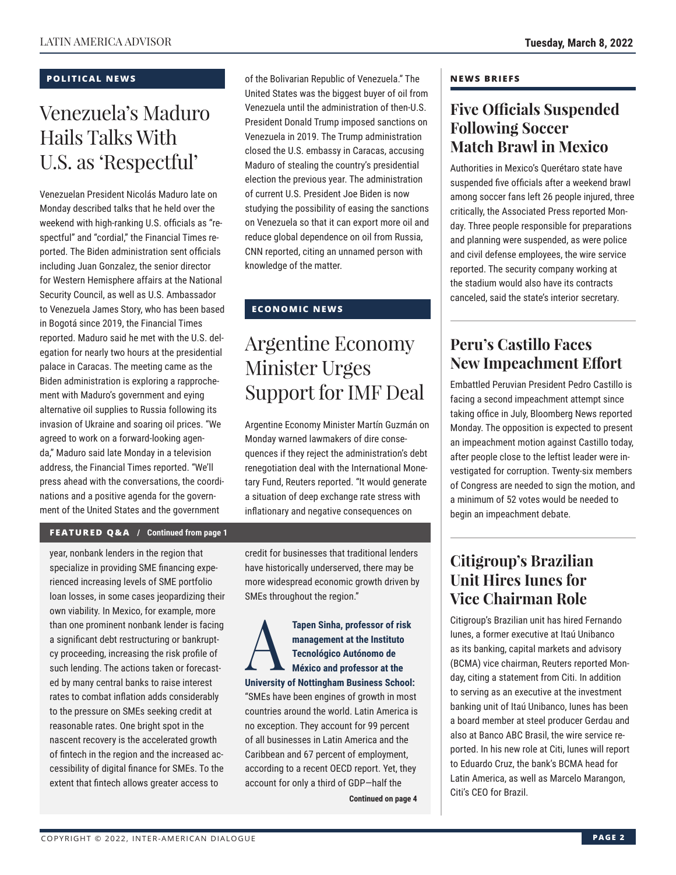#### **POLITICAL NEWS**

## Venezuela's Maduro Hails Talks With U.S. as 'Respectful'

Venezuelan President Nicolás Maduro late on Monday described talks that he held over the weekend with high-ranking U.S. officials as "respectful" and "cordial," the Financial Times reported. The Biden administration sent officials including Juan Gonzalez, the senior director for Western Hemisphere affairs at the National Security Council, as well as U.S. Ambassador to Venezuela James Story, who has been based in Bogotá since 2019, the Financial Times reported. Maduro said he met with the U.S. delegation for nearly two hours at the presidential palace in Caracas. The meeting came as the Biden administration is exploring a rapprochement with Maduro's government and eying alternative oil supplies to Russia following its invasion of Ukraine and soaring oil prices. "We agreed to work on a forward-looking agenda," Maduro said late Monday in a television address, the Financial Times reported. "We'll press ahead with the conversations, the coordinations and a positive agenda for the government of the United States and the government

of the Bolivarian Republic of Venezuela." The United States was the biggest buyer of oil from Venezuela until the administration of then-U.S. President Donald Trump imposed sanctions on Venezuela in 2019. The Trump administration closed the U.S. embassy in Caracas, accusing Maduro of stealing the country's presidential election the previous year. The administration of current U.S. President Joe Biden is now studying the possibility of easing the sanctions on Venezuela so that it can export more oil and reduce global dependence on oil from Russia, CNN reported, citing an unnamed person with knowledge of the matter.

#### **ECONOMIC NEWS**

## Argentine Economy Minister Urges Support for IMF Deal

Argentine Economy Minister Martín Guzmán on Monday warned lawmakers of dire consequences if they reject the administration's debt renegotiation deal with the International Monetary Fund, Reuters reported. "It would generate a situation of deep exchange rate stress with inflationary and negative consequences on

#### **FEATURED Q&A / Continued from page 1**

year, nonbank lenders in the region that specialize in providing SME financing experienced increasing levels of SME portfolio loan losses, in some cases jeopardizing their own viability. In Mexico, for example, more than one prominent nonbank lender is facing a significant debt restructuring or bankruptcy proceeding, increasing the risk profile of such lending. The actions taken or forecasted by many central banks to raise interest rates to combat inflation adds considerably to the pressure on SMEs seeking credit at reasonable rates. One bright spot in the nascent recovery is the accelerated growth of fintech in the region and the increased accessibility of digital finance for SMEs. To the extent that fintech allows greater access to

credit for businesses that traditional lenders have historically underserved, there may be more widespread economic growth driven by SMEs throughout the region."

Tapen Sinha, professor of risk<br>
management at the Instituto<br>
Tecnológico Autónomo de<br>
México and professor at the<br> **University of Nattingham Business School management at the Instituto Tecnológico Autónomo de México and professor at the University of Nottingham Business School:** "SMEs have been engines of growth in most countries around the world. Latin America is no exception. They account for 99 percent of all businesses in Latin America and the Caribbean and 67 percent of employment, according to a recent OECD report. Yet, they account for only a third of GDP—half the

**Continued on page 4** 

#### **NEWS BRIEFS**

### **Five Officials Suspended Following Soccer Match Brawl in Mexico**

Authorities in Mexico's Querétaro state have suspended five officials after a weekend brawl among soccer fans left 26 people injured, three critically, the Associated Press reported Monday. Three people responsible for preparations and planning were suspended, as were police and civil defense employees, the wire service reported. The security company working at the stadium would also have its contracts canceled, said the state's interior secretary.

### **Peru's Castillo Faces New Impeachment Effort**

Embattled Peruvian President Pedro Castillo is facing a second impeachment attempt since taking office in July, Bloomberg News reported Monday. The opposition is expected to present an impeachment motion against Castillo today, after people close to the leftist leader were investigated for corruption. Twenty-six members of Congress are needed to sign the motion, and a minimum of 52 votes would be needed to begin an impeachment debate.

## **Citigroup's Brazilian Unit Hires Iunes for Vice Chairman Role**

Citigroup's Brazilian unit has hired Fernando Iunes, a former executive at Itaú Unibanco as its banking, capital markets and advisory (BCMA) vice chairman, Reuters reported Monday, citing a statement from Citi. In addition to serving as an executive at the investment banking unit of Itaú Unibanco, Iunes has been a board member at steel producer Gerdau and also at Banco ABC Brasil, the wire service reported. In his new role at Citi, Iunes will report to Eduardo Cruz, the bank's BCMA head for Latin America, as well as Marcelo Marangon, Citi's CEO for Brazil.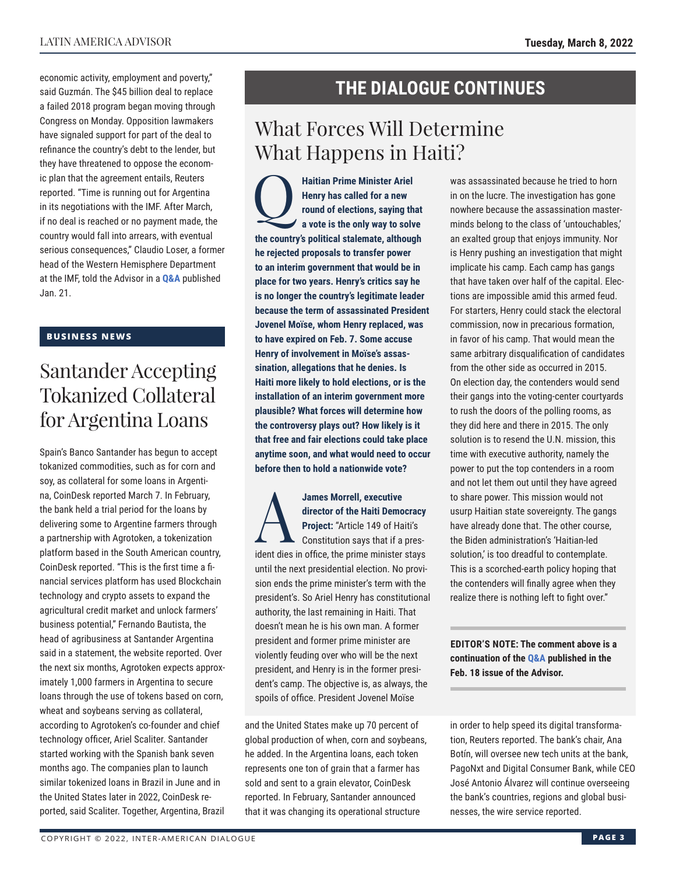economic activity, employment and poverty," said Guzmán. The \$45 billion deal to replace a failed 2018 program began moving through Congress on Monday. Opposition lawmakers have signaled support for part of the deal to refinance the country's debt to the lender, but they have threatened to oppose the economic plan that the agreement entails, Reuters reported. "Time is running out for Argentina in its negotiations with the IMF. After March, if no deal is reached or no payment made, the country would fall into arrears, with eventual serious consequences," Claudio Loser, a former head of the Western Hemisphere Department at the IMF, told the Advisor in a **[Q&A](https://www.thedialogue.org/wp-content/uploads/2022/01/LAA220121.pdf)** published Jan. 21.

#### **BUSINESS NEWS**

## Santander Accepting Tokanized Collateral for Argentina Loans

Spain's Banco Santander has begun to accept tokanized commodities, such as for corn and soy, as collateral for some loans in Argentina, CoinDesk reported March 7. In February, the bank held a trial period for the loans by delivering some to Argentine farmers through a partnership with Agrotoken, a tokenization platform based in the South American country, CoinDesk reported. "This is the first time a financial services platform has used Blockchain technology and crypto assets to expand the agricultural credit market and unlock farmers' business potential," Fernando Bautista, the head of agribusiness at Santander Argentina said in a statement, the website reported. Over the next six months, Agrotoken expects approximately 1,000 farmers in Argentina to secure loans through the use of tokens based on corn, wheat and soybeans serving as collateral, according to Agrotoken's co-founder and chief technology officer, Ariel Scaliter. Santander started working with the Spanish bank seven months ago. The companies plan to launch similar tokenized loans in Brazil in June and in the United States later in 2022, CoinDesk reported, said Scaliter. Together, Argentina, Brazil

## **THE DIALOGUE CONTINUES**

## What Forces Will Determine What Happens in Haiti?

**Haitian Prime Minister Ariel<br>
Henry has called for a new<br>
round of elections, saying th<br>
a vote is the only way to solv Henry has called for a new round of elections, saying that a vote is the only way to solve the country's political stalemate, although he rejected proposals to transfer power to an interim government that would be in place for two years. Henry's critics say he is no longer the country's legitimate leader because the term of assassinated President Jovenel Moïse, whom Henry replaced, was to have expired on Feb. 7. Some accuse Henry of involvement in Moïse's assassination, allegations that he denies. Is Haiti more likely to hold elections, or is the installation of an interim government more plausible? What forces will determine how the controversy plays out? How likely is it that free and fair elections could take place anytime soon, and what would need to occur before then to hold a nationwide vote?**

James Morrell, executive<br>director of the Haiti Demo<br>Project: "Article 149 of Ha<br>Constitution says that if a<br>ident dise in office, the prime minister **director of the Haiti Democracy Project:** "Article 149 of Haiti's Constitution says that if a president dies in office, the prime minister stays until the next presidential election. No provision ends the prime minister's term with the president's. So Ariel Henry has constitutional authority, the last remaining in Haiti. That doesn't mean he is his own man. A former president and former prime minister are violently feuding over who will be the next president, and Henry is in the former president's camp. The objective is, as always, the spoils of office. President Jovenel Moïse

and the United States make up 70 percent of global production of when, corn and soybeans, he added. In the Argentina loans, each token represents one ton of grain that a farmer has sold and sent to a grain elevator, CoinDesk reported. In February, Santander announced that it was changing its operational structure

was assassinated because he tried to horn in on the lucre. The investigation has gone nowhere because the assassination masterminds belong to the class of 'untouchables,' an exalted group that enjoys immunity. Nor is Henry pushing an investigation that might implicate his camp. Each camp has gangs that have taken over half of the capital. Elections are impossible amid this armed feud. For starters, Henry could stack the electoral commission, now in precarious formation, in favor of his camp. That would mean the same arbitrary disqualification of candidates from the other side as occurred in 2015. On election day, the contenders would send their gangs into the voting-center courtyards to rush the doors of the polling rooms, as they did here and there in 2015. The only solution is to resend the U.N. mission, this time with executive authority, namely the power to put the top contenders in a room and not let them out until they have agreed to share power. This mission would not usurp Haitian state sovereignty. The gangs have already done that. The other course, the Biden administration's 'Haitian-led solution,' is too dreadful to contemplate. This is a scorched-earth policy hoping that the contenders will finally agree when they realize there is nothing left to fight over."

**EDITOR'S NOTE: The comment above is a continuation of t[he Q&A pub](https://www.thedialogue.org/wp-content/uploads/2022/02/LAA220218.pdf)lished in the Feb. 18 issue of the Advisor.**

in order to help speed its digital transformation, Reuters reported. The bank's chair, Ana Botín, will oversee new tech units at the bank, PagoNxt and Digital Consumer Bank, while CEO José Antonio Álvarez will continue overseeing the bank's countries, regions and global businesses, the wire service reported.